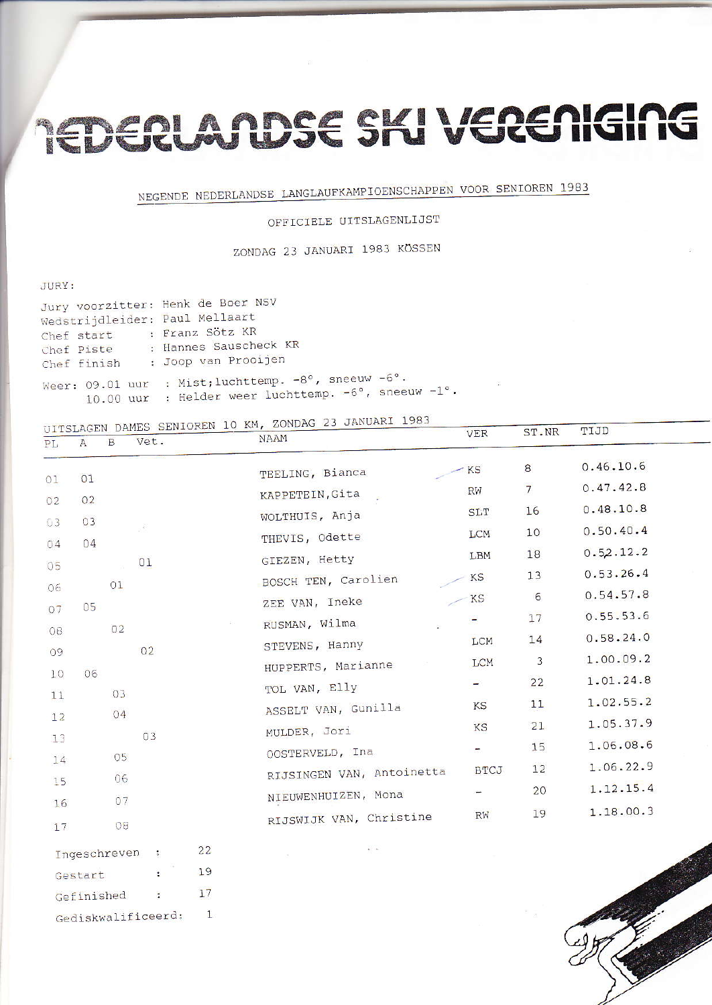## TEDERLANDSE SKI VERENIGIN

NEGENDE NEDERLANDSE LANGLAUFKAMPIOENSCHAPPEN VOOR SENIOREN 1983

## OFFICIELE UITSLAGENLIJST

ZONDAG 23 JANUARI 1983 KÖSSEN

JURY:

|                              | Jury voorzitter: Henk de Boer NSV                                                                    |
|------------------------------|------------------------------------------------------------------------------------------------------|
|                              | Wedstrijdleider: Paul Mellaart                                                                       |
|                              | Chef start : Franz Sötz KR                                                                           |
|                              | Chef Piste : Hannes Sauscheck KR                                                                     |
| Chef finish                  | : Joop van Prooijen                                                                                  |
| Weer: 09.01 uur<br>10.00 uur | : Mist; luchttemp. $-8^{\circ}$ , sneeuw $-6^{\circ}$ .<br>: Helder weer luchttemp. -6°, sneeuw -1°. |

UITSLAGEN DAMES SENIOREN 10 KM, ZONDAG 23 JANUARI 1983

| PL | $\mathbf{A}$ | $\mathbf{B}$ | UITSLAGEN DAMES SENTOREN IS NOT<br>Vet. | <b>NAAM</b>               | <b>VER</b>               | ST.NR          | TIJD      |  |
|----|--------------|--------------|-----------------------------------------|---------------------------|--------------------------|----------------|-----------|--|
| 01 | 01           |              |                                         | TEELING, Bianca           | KS                       | 8              | 0.46.10.6 |  |
|    |              |              |                                         | KAPPETEIN, Gita           | <b>RW</b>                | $\overline{7}$ | 0.47.42.8 |  |
| 02 | 02           |              |                                         | WOLTHUIS, Anja            | <b>SLT</b>               | 16             | 0.48.10.8 |  |
| 03 | 03<br>04     |              | n8                                      | THEVIS, Odette            | LCM                      | 10             | 0.50.40.4 |  |
| 04 |              |              | 01                                      | GIEZEN, Hetty             | LBM                      | 18             | 0.52.12.2 |  |
| 05 |              | 01           |                                         | BOSCH TEN, Carolien       | KS                       | 13             | 0.53.26.4 |  |
| 06 |              |              |                                         | ZEE VAN, Ineke            | KS                       | 6              | 0.54.57.8 |  |
| 07 | 05           |              |                                         | RUSMAN, Wilma             | -                        | 17             | 0.55.53.6 |  |
| 08 |              | 02           |                                         | STEVENS, Hanny            | LCM                      | 14             | 0.58.24.0 |  |
| 09 |              |              | 02                                      | HUPPERTS, Marianne        | LCM                      | 3              | 1.00.09.2 |  |
| 10 | 06           |              |                                         | TOL VAN, Elly             | Ξ.                       | 22             | 1.01.24.8 |  |
| 11 |              | 03           |                                         | ASSELT VAN, Gunilla       | ΚS                       | 11             | 1.02.55.2 |  |
| 12 |              | 04           |                                         |                           | KS                       | 21             | 1.05.37.9 |  |
| 13 |              |              | 03                                      | MULDER, Jori              | $\overline{\mathcal{C}}$ | 15             | 1.06.08.6 |  |
| 14 |              | 05           |                                         | OOSTERVELD, Ina           | <b>BTCJ</b>              | 12             | 1.06.22.9 |  |
| 15 |              | 06           |                                         | RIJSINGEN VAN, Antoinetta |                          |                | 1.12.15.4 |  |
| 16 |              | 07           |                                         | NIEUWENHUIZEN, Mona       | $\overline{\phantom{a}}$ | 20             |           |  |
| 17 |              | 08           |                                         | RIJSWIJK VAN, Christine   | RW                       | 19             | 1.18.00.3 |  |

| Ingeschreven       | ۰, | 22 |
|--------------------|----|----|
| Gestart            |    | 19 |
| Gefinished         | ۰. | 17 |
| Gediskwalificeerd: |    |    |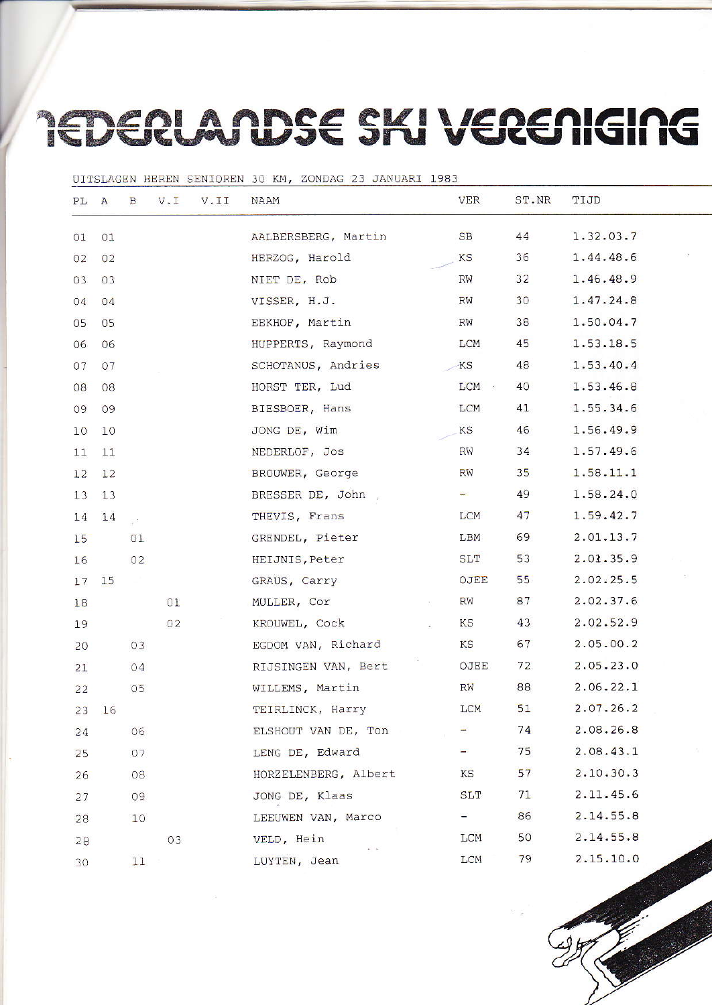ndse ski verenig

UITSLAGEN HEREN SENIOREN 30 KM, ZONDAG 23 JANUARI 1983 **VER** ST.NR TIJD V.I V.II PL A B **NAAM** 44 1.32.03.7  $01$ 01 AALBERSBERG, Martin **SB** 36 1.44.48.6 HERZOG, Harold KS 02  $02$ NIET DE, Rob  $32$ 1.46.48.9 03  $RW$ 03 VISSER, H.J. 30 1.47.24.8 04 04 **RW** 1.50.04.7 05  $05$ EEKHOF, Martin  $RW$ 38 HUPPERTS, Raymond **LCM** 45 1.53.18.5 06 06 1.53.40.4 07 07 SCHOTANUS, Andries  $-<sup>K</sup>$ 48 HORST TER, Lud LCM : 1.53.46.8 08 40 08 BIESBOER, Hans **LCM** 41 1.55.34.6 09 09 10 10 JONG DE, Wim KS 46 1.56.49.9 RW 34 1.57.49.6 NEDERLOF, JOS  $11$ 11 BROUWER, George RW 35 1.58.11.1  $12$  $12$ 1.58.24.0 BRESSER DE, John  $\frac{1}{2}$ 49 13 13 **LCM**  $47$ 1.59.42.7 THEVIS, Frans 14 14 .<br>Si  $LBM$ 69  $2.01.13.7$ 15  $01$ GRENDEL, Pieter  $2.01.35.9$ **SLT** 53 16  $02$ HEIJNIS, Peter  $2.02.25.5$ 17 15 GRAUS, Carry OJEE 55 **RW** 87  $2.02.37.6$  $01$ MULLER, Cor 18 KROUWEL, Cock KS 43 2.02.52.9 19  $0<sub>2</sub>$ EGDOM VAN, Richard **KS** 67 2.05.00.2 20 03  $2.05.23.0$ RIJSINGEN VAN, Bert OJEE 72  $21$ 04 2.06.22.1 WILLEMS, Martin RW 88  $22$ 05 TEIRLINCK, Harry LCM 51  $2.07.26.2$  $23$ 16 74 2.08.26.8 06 ELSHOUT VAN DE, Ton W. 24 LENG DE, Edward 75  $2.08.43.1$ 25  $07$ 57  $2.10.30.3$ HORZELENBERG, Albert  $KS$ 26 08  $2.11.45.6$ JONG DE, Klaas **SLT** 71  $27$ 09 86 2.14.55.8 LEEUWEN VAN, Marco **Contract** 28  $10$  $2.14.55.8$ **LCM** 50 03 VELD, Hein 28 79  $2.15.10.0$ **LCM** LUYTEN, Jean  $11$ 30